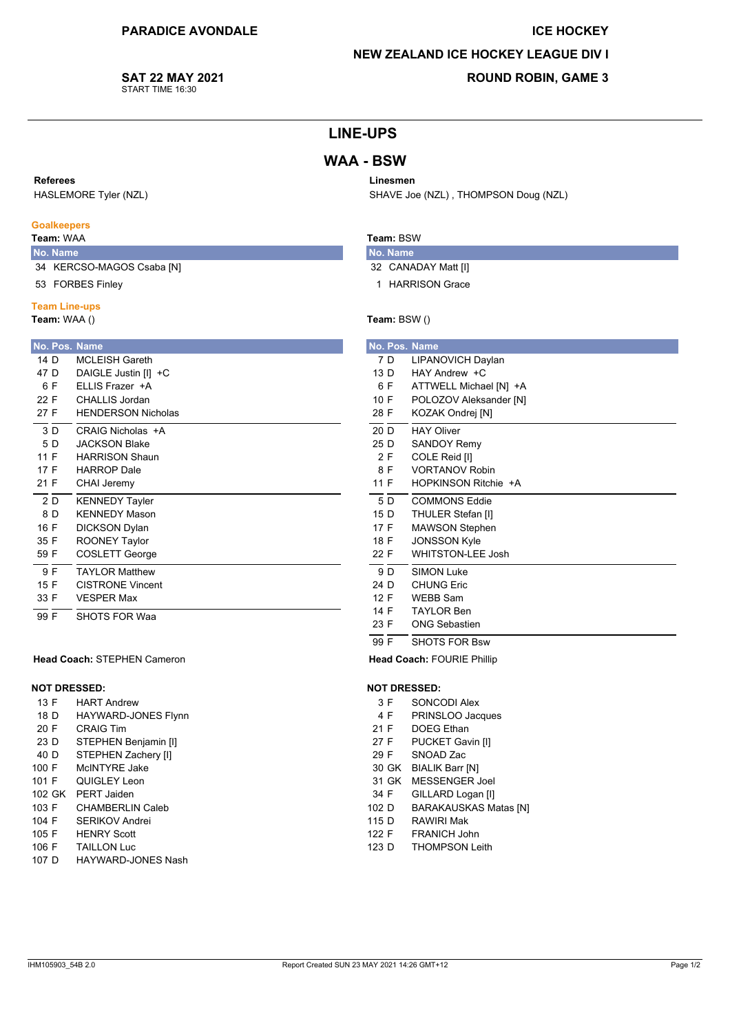#### **ICE HOCKEY**

#### **NEW ZEALAND ICE HOCKEY LEAGUE DIV I**

#### SAT 22 MAY 2021 START TIME 16:30

## **ROUND ROBIN, GAME 3**

## **LINE-UPS**

## **WAA - BSW**

## Referees

HASLEMORE Tyler (NZL)

## **Goalkeepers**

## Team: WAA

No. Name 34 KERCSO-MAGOS Csaba [N]

**ROONEY Taylor** 

**COSLETT George** 

**TAYLOR Matthew** 

SHOTS FOR Waa

**VESPER Max** 

Head Coach: STEPHEN Cameron

**HART Andrew** 

**CRAIG Tim** 

HAYWARD-JONES Flynn

STEPHEN Benjamin [I] STEPHEN Zachery [I]

CHAMBERLIN Caleb

McINTYRE Jake

QUIGLEY Leon

SERIKOV Andrei

102 GK PERT Jaiden

**CISTRONE Vincent** 

53 FORBES Finley

## **Team Line-ups**

 $\cdots$ Tea

**No**  $14$  $47$ 

35 F

59 F

 $\overline{9}$  F

 $15F$ 

33 F

 $\frac{1}{99}$  F

13 F

18 D

20 F

23 D

 $40<sub>D</sub>$ 

100 F

101 F

103 F

104 F

 $105 F$ 

**NOT DRESSED:** 

| [ <b>eam:</b> WAA () |     |                           |  |  |  |  |  |  |  |
|----------------------|-----|---------------------------|--|--|--|--|--|--|--|
|                      |     | <b>No. Pos. Name</b>      |  |  |  |  |  |  |  |
| 14 D                 |     | <b>MCLEISH Gareth</b>     |  |  |  |  |  |  |  |
| 47 D                 |     | DAIGLE Justin [I] +C      |  |  |  |  |  |  |  |
|                      | 6 F | FLLIS Frazer +A           |  |  |  |  |  |  |  |
| 22 F                 |     | CHALLIS Jordan            |  |  |  |  |  |  |  |
| 27 F                 |     | <b>HENDERSON Nicholas</b> |  |  |  |  |  |  |  |
|                      | 3 D | CRAIG Nicholas +A         |  |  |  |  |  |  |  |
|                      | 5 D | <b>JACKSON Blake</b>      |  |  |  |  |  |  |  |
| 11 F                 |     | <b>HARRISON Shaun</b>     |  |  |  |  |  |  |  |
| 17 F                 |     | <b>HARROP</b> Dale        |  |  |  |  |  |  |  |
| 21 F                 |     | CHAI Jeremy               |  |  |  |  |  |  |  |
|                      | 2 D | <b>KENNEDY Tayler</b>     |  |  |  |  |  |  |  |
|                      | 8 D | <b>KENNEDY Mason</b>      |  |  |  |  |  |  |  |
| 16 F                 |     | <b>DICKSON Dvlan</b>      |  |  |  |  |  |  |  |

# Linesmen

SHAVE Joe (NZL), THOMPSON Doug (NZL)

## Team: BSW

- No. Name 32 CANADAY Matt [I]
- 1 HARRISON Grace

## Team: BSW ()

|      | No. Pos. Name            |
|------|--------------------------|
| 7 D  | LIPANOVICH Daylan        |
| 13 D | $HAY$ Andrew $+C$        |
| 6 F  | ATTWELL Michael [N] +A   |
| 10 F | POLOZOV Aleksander [N]   |
| 28 F | KOZAK Ondrej [N]         |
| 20 D | <b>HAY Oliver</b>        |
| 25 D | <b>SANDOY Remy</b>       |
| 2 F  | COLE Reid [I]            |
| 8 F  | <b>VORTANOV Robin</b>    |
| 11 F | HOPKINSON Ritchie +A     |
| 5 D  | <b>COMMONS Eddie</b>     |
| 15 D | THULER Stefan [I]        |
| 17 F | <b>MAWSON Stephen</b>    |
| 18 F | <b>JONSSON Kyle</b>      |
| 22 F | <b>WHITSTON-LEE Josh</b> |
| 9 D  | <b>SIMON Luke</b>        |
| 24 D | <b>CHUNG Eric</b>        |
| 12 F | <b>WEBB Sam</b>          |
| 14 F | <b>TAYLOR Ben</b>        |
| 23 F | <b>ONG Sebastien</b>     |
| 99 F | <b>SHOTS FOR Bsw</b>     |

Head Coach: FOURIE Phillip

#### **NOT DRESSED:**

- $3F$ SONCODI Alex
- 4 F PRINSLOO Jacques
- $21 F$ **DOEG** Ethan
- PUCKET Gavin [I]  $27 F$
- 29 F SNOAD Zac
- 30 GK BIALIK Barr [N]
- 31 GK MESSENGER Joel
- 34 F GILLARD Logan [I]
- 102 D **BARAKAUSKAS Matas [N] RAWIRI Mak**
- 115 D FRANICH John  $122 F$
- **THOMPSON Leith** 123 D
- **HENRY Scott** 106 F **TAILLON Luc**
- 107 D HAYWARD-JONES Nash